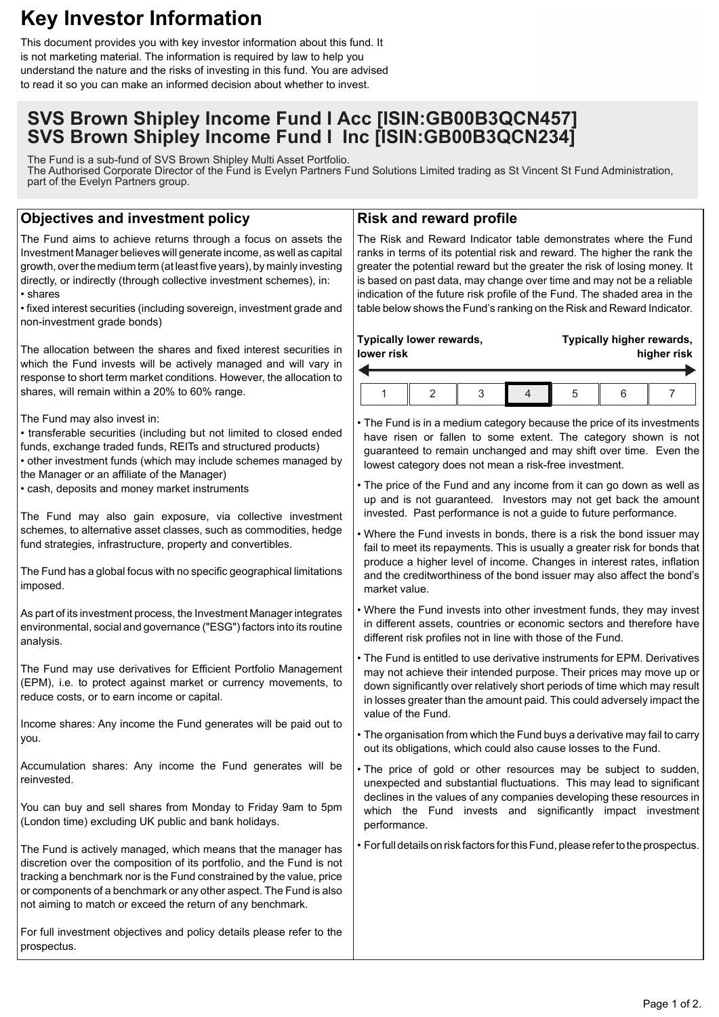# **Key Investor Information**

This document provides you with key investor information about this fund. It is not marketing material. The information is required by law to help you understand the nature and the risks of investing in this fund. You are advised to read it so you can make an informed decision about whether to invest.

# **SVS Brown Shipley Income Fund I Acc [ISIN:GB00B3QCN457] SVS Brown Shipley Income Fund I Inc [ISIN:GB00B3QCN234]**

The Fund is a sub-fund of SVS Brown Shipley Multi Asset Portfolio. The Authorised Corporate Director of the Fund is Evelyn Partners Fund Solutions Limited trading as St Vincent St Fund Administration, part of the Evelyn Partners group.

# **Objectives and investment policy**

The Fund aims to achieve returns through a focus on assets the Investment Manager believes will generate income, as well as capital growth, over the medium term (at least five years), by mainly investing directly, or indirectly (through collective investment schemes), in: • shares

• fixed interest securities (including sovereign, investment grade and non-investment grade bonds)

The allocation between the shares and fixed interest securities in which the Fund invests will be actively managed and will vary in response to short term market conditions. However, the allocation to shares, will remain within a 20% to 60% range.

The Fund may also invest in:

• transferable securities (including but not limited to closed ended funds, exchange traded funds, REITs and structured products) • other investment funds (which may include schemes managed by the Manager or an affiliate of the Manager)

• cash, deposits and money market instruments

The Fund may also gain exposure, via collective investment schemes, to alternative asset classes, such as commodities, hedge fund strategies, infrastructure, property and convertibles.

The Fund has a global focus with no specific geographical limitations imposed.

As part of its investment process, the Investment Manager integrates environmental, social and governance ("ESG") factors into its routine analysis.

The Fund may use derivatives for Efficient Portfolio Management (EPM), i.e. to protect against market or currency movements, to reduce costs, or to earn income or capital.

Income shares: Any income the Fund generates will be paid out to you.

Accumulation shares: Any income the Fund generates will be reinvested.

You can buy and sell shares from Monday to Friday 9am to 5pm (London time) excluding UK public and bank holidays.

The Fund is actively managed, which means that the manager has discretion over the composition of its portfolio, and the Fund is not tracking a benchmark nor is the Fund constrained by the value, price or components of a benchmark or any other aspect. The Fund is also not aiming to match or exceed the return of any benchmark.

For full investment objectives and policy details please refer to the prospectus.

## **Risk and reward profile**

The Risk and Reward Indicator table demonstrates where the Fund ranks in terms of its potential risk and reward. The higher the rank the greater the potential reward but the greater the risk of losing money. It is based on past data, may change over time and may not be a reliable indication of the future risk profile of the Fund. The shaded area in the table below shows the Fund's ranking on the Risk and Reward Indicator.

| Typically lower rewards, |  |  |  | Typically higher rewards, |  |  |
|--------------------------|--|--|--|---------------------------|--|--|
| lower risk               |  |  |  | higher risk               |  |  |
|                          |  |  |  |                           |  |  |

• The Fund is in a medium category because the price of its investments have risen or fallen to some extent. The category shown is not guaranteed to remain unchanged and may shift over time. Even the lowest category does not mean a risk-free investment.

• The price of the Fund and any income from it can go down as well as up and is not guaranteed. Investors may not get back the amount invested. Past performance is not a guide to future performance.

• Where the Fund invests in bonds, there is a risk the bond issuer may fail to meet its repayments. This is usually a greater risk for bonds that produce a higher level of income. Changes in interest rates, inflation and the creditworthiness of the bond issuer may also affect the bond's market value.

• Where the Fund invests into other investment funds, they may invest in different assets, countries or economic sectors and therefore have different risk profiles not in line with those of the Fund.

• The Fund is entitled to use derivative instruments for EPM. Derivatives may not achieve their intended purpose. Their prices may move up or down significantly over relatively short periods of time which may result in losses greater than the amount paid. This could adversely impact the value of the Fund.

• The organisation from which the Fund buys a derivative may fail to carry out its obligations, which could also cause losses to the Fund.

• The price of gold or other resources may be subject to sudden, unexpected and substantial fluctuations. This may lead to significant declines in the values of any companies developing these resources in which the Fund invests and significantly impact investment performance.

• For full details on risk factors for this Fund, please refer to the prospectus.